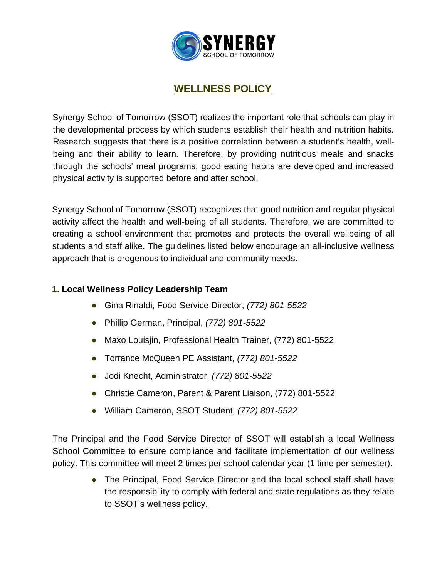

# **WELLNESS POLICY**

Synergy School of Tomorrow (SSOT) realizes the important role that schools can play in the developmental process by which students establish their health and nutrition habits. Research suggests that there is a positive correlation between a student's health, wellbeing and their ability to learn. Therefore, by providing nutritious meals and snacks through the schools' meal programs, good eating habits are developed and increased physical activity is supported before and after school.

Synergy School of Tomorrow (SSOT) recognizes that good nutrition and regular physical activity affect the health and well-being of all students. Therefore, we are committed to creating a school environment that promotes and protects the overall wellbeing of all students and staff alike. The guidelines listed below encourage an all-inclusive wellness approach that is erogenous to individual and community needs.

## **1. Local Wellness Policy Leadership Team**

- Gina Rinaldi, Food Service Director, *(772) 801-5522*
- Phillip German, Principal, *(772) 801-5522*
- Maxo Louisjin, Professional Health Trainer, (772) 801-5522
- Torrance McQueen PE Assistant, *(772) 801-5522*
- Jodi Knecht, Administrator, *(772) 801-5522*
- Christie Cameron, Parent & Parent Liaison, (772) 801-5522
- William Cameron, SSOT Student, *(772) 801-5522*

The Principal and the Food Service Director of SSOT will establish a local Wellness School Committee to ensure compliance and facilitate implementation of our wellness policy. This committee will meet 2 times per school calendar year (1 time per semester).

> • The Principal, Food Service Director and the local school staff shall have the responsibility to comply with federal and state regulations as they relate to SSOT's wellness policy.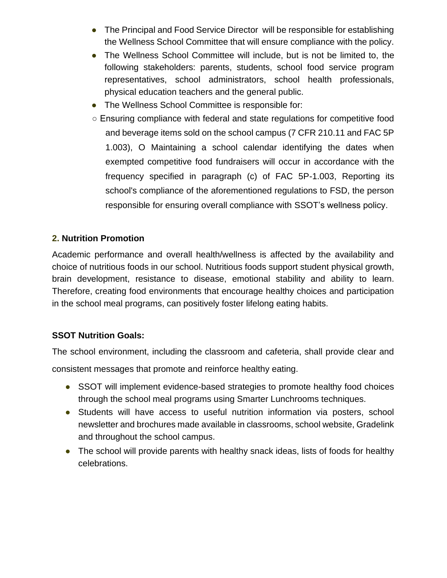- The Principal and Food Service Director will be responsible for establishing the Wellness School Committee that will ensure compliance with the policy.
- The Wellness School Committee will include, but is not be limited to, the following stakeholders: parents, students, school food service program representatives, school administrators, school health professionals, physical education teachers and the general public.
- The Wellness School Committee is responsible for:
- Ensuring compliance with federal and state regulations for competitive food and beverage items sold on the school campus (7 CFR 210.11 and FAC 5P 1.003), O Maintaining a school calendar identifying the dates when exempted competitive food fundraisers will occur in accordance with the frequency specified in paragraph (c) of FAC 5P-1.003, Reporting its school's compliance of the aforementioned regulations to FSD, the person responsible for ensuring overall compliance with SSOT's wellness policy.

## **2. Nutrition Promotion**

Academic performance and overall health/wellness is affected by the availability and choice of nutritious foods in our school. Nutritious foods support student physical growth, brain development, resistance to disease, emotional stability and ability to learn. Therefore, creating food environments that encourage healthy choices and participation in the school meal programs, can positively foster lifelong eating habits.

#### **SSOT Nutrition Goals:**

The school environment, including the classroom and cafeteria, shall provide clear and

consistent messages that promote and reinforce healthy eating.

- SSOT will implement evidence-based strategies to promote healthy food choices through the school meal programs using Smarter Lunchrooms techniques.
- Students will have access to useful nutrition information via posters, school newsletter and brochures made available in classrooms, school website, Gradelink and throughout the school campus.
- The school will provide parents with healthy snack ideas, lists of foods for healthy celebrations.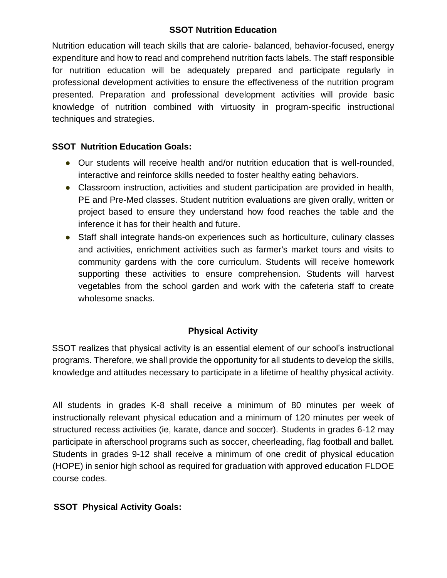## **SSOT Nutrition Education**

Nutrition education will teach skills that are calorie- balanced, behavior-focused, energy expenditure and how to read and comprehend nutrition facts labels. The staff responsible for nutrition education will be adequately prepared and participate regularly in professional development activities to ensure the effectiveness of the nutrition program presented. Preparation and professional development activities will provide basic knowledge of nutrition combined with virtuosity in program-specific instructional techniques and strategies.

#### **SSOT Nutrition Education Goals:**

- Our students will receive health and/or nutrition education that is well-rounded, interactive and reinforce skills needed to foster healthy eating behaviors.
- Classroom instruction, activities and student participation are provided in health, PE and Pre-Med classes. Student nutrition evaluations are given orally, written or project based to ensure they understand how food reaches the table and the inference it has for their health and future.
- Staff shall integrate hands-on experiences such as horticulture, culinary classes and activities, enrichment activities such as farmer's market tours and visits to community gardens with the core curriculum. Students will receive homework supporting these activities to ensure comprehension. Students will harvest vegetables from the school garden and work with the cafeteria staff to create wholesome snacks.

## **Physical Activity**

SSOT realizes that physical activity is an essential element of our school's instructional programs. Therefore, we shall provide the opportunity for all students to develop the skills, knowledge and attitudes necessary to participate in a lifetime of healthy physical activity.

All students in grades K-8 shall receive a minimum of 80 minutes per week of instructionally relevant physical education and a minimum of 120 minutes per week of structured recess activities (ie, karate, dance and soccer). Students in grades 6-12 may participate in afterschool programs such as soccer, cheerleading, flag football and ballet. Students in grades 9-12 shall receive a minimum of one credit of physical education (HOPE) in senior high school as required for graduation with approved education FLDOE course codes.

#### **SSOT Physical Activity Goals:**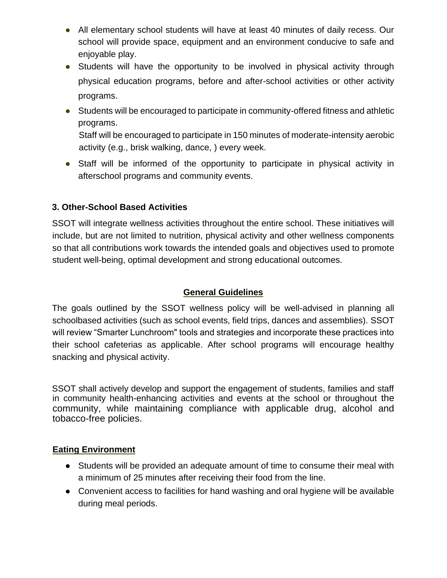- All elementary school students will have at least 40 minutes of daily recess. Our school will provide space, equipment and an environment conducive to safe and enjoyable play.
- Students will have the opportunity to be involved in physical activity through physical education programs, before and after-school activities or other activity programs.
- Students will be encouraged to participate in community-offered fitness and athletic programs.

Staff will be encouraged to participate in 150 minutes of moderate-intensity aerobic activity (e.g., brisk walking, dance, ) every week.

● Staff will be informed of the opportunity to participate in physical activity in afterschool programs and community events.

## **3. Other-School Based Activities**

SSOT will integrate wellness activities throughout the entire school. These initiatives will include, but are not limited to nutrition, physical activity and other wellness components so that all contributions work towards the intended goals and objectives used to promote student well-being, optimal development and strong educational outcomes.

# **General Guidelines**

The goals outlined by the SSOT wellness policy will be well-advised in planning all schoolbased activities (such as school events, field trips, dances and assemblies). SSOT will review "Smarter Lunchroom" tools and strategies and incorporate these practices into their school cafeterias as applicable. After school programs will encourage healthy snacking and physical activity.

SSOT shall actively develop and support the engagement of students, families and staff in community health-enhancing activities and events at the school or throughout the community, while maintaining compliance with applicable drug, alcohol and tobacco-free policies.

## **Eating Environment**

- Students will be provided an adequate amount of time to consume their meal with a minimum of 25 minutes after receiving their food from the line.
- Convenient access to facilities for hand washing and oral hygiene will be available during meal periods.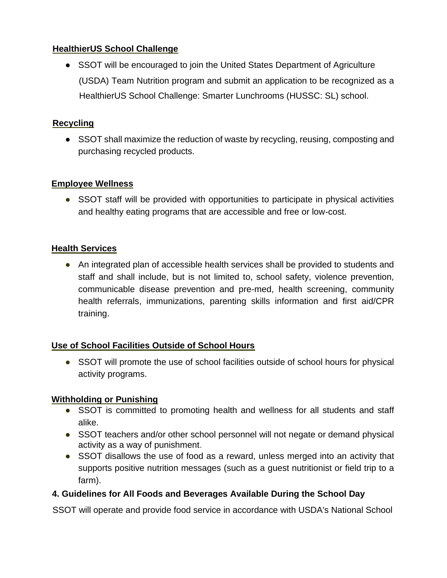## **HealthierUS School Challenge**

• SSOT will be encouraged to join the United States Department of Agriculture (USDA) Team Nutrition program and submit an application to be recognized as a HealthierUS School Challenge: Smarter Lunchrooms (HUSSC: SL) school.

# **Recycling**

● SSOT shall maximize the reduction of waste by recycling, reusing, composting and purchasing recycled products.

# **Employee Wellness**

• SSOT staff will be provided with opportunities to participate in physical activities and healthy eating programs that are accessible and free or low-cost.

# **Health Services**

● An integrated plan of accessible health services shall be provided to students and staff and shall include, but is not limited to, school safety, violence prevention, communicable disease prevention and pre-med, health screening, community health referrals, immunizations, parenting skills information and first aid/CPR training.

# **Use of School Facilities Outside of School Hours**

• SSOT will promote the use of school facilities outside of school hours for physical activity programs.

# **Withholding or Punishing**

- SSOT is committed to promoting health and wellness for all students and staff alike.
- SSOT teachers and/or other school personnel will not negate or demand physical activity as a way of punishment.
- SSOT disallows the use of food as a reward, unless merged into an activity that supports positive nutrition messages (such as a guest nutritionist or field trip to a farm).

# **4. Guidelines for All Foods and Beverages Available During the School Day**

SSOT will operate and provide food service in accordance with USDA's National School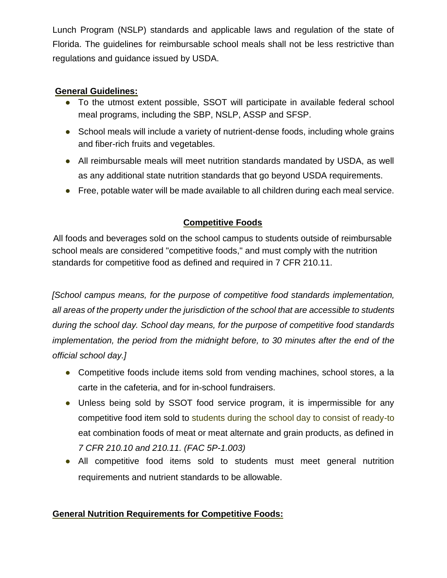Lunch Program (NSLP) standards and applicable laws and regulation of the state of Florida. The guidelines for reimbursable school meals shall not be less restrictive than regulations and guidance issued by USDA.

## **General Guidelines:**

- To the utmost extent possible, SSOT will participate in available federal school meal programs, including the SBP, NSLP, ASSP and SFSP.
- School meals will include a variety of nutrient-dense foods, including whole grains and fiber-rich fruits and vegetables.
- All reimbursable meals will meet nutrition standards mandated by USDA, as well as any additional state nutrition standards that go beyond USDA requirements.
- Free, potable water will be made available to all children during each meal service.

# **Competitive Foods**

All foods and beverages sold on the school campus to students outside of reimbursable school meals are considered "competitive foods," and must comply with the nutrition standards for competitive food as defined and required in 7 CFR 210.11.

*[School campus means, for the purpose of competitive food standards implementation, all areas of the property under the jurisdiction of the school that are accessible to students during the school day. School day means, for the purpose of competitive food standards implementation, the period from the midnight before, to 30 minutes after the end of the official school day.]* 

- Competitive foods include items sold from vending machines, school stores, a la carte in the cafeteria, and for in-school fundraisers.
- Unless being sold by SSOT food service program, it is impermissible for any competitive food item sold to students during the school day to consist of ready-to eat combination foods of meat or meat alternate and grain products, as defined in *7 CFR 210.10 and 210.11. (FAC 5P-1.003)*
- All competitive food items sold to students must meet general nutrition requirements and nutrient standards to be allowable.

# **General Nutrition Requirements for Competitive Foods:**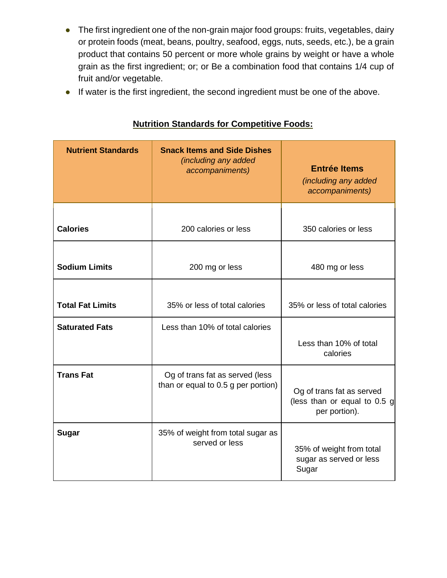- The first ingredient one of the non-grain major food groups: fruits, vegetables, dairy or protein foods (meat, beans, poultry, seafood, eggs, nuts, seeds, etc.), be a grain product that contains 50 percent or more whole grains by weight or have a whole grain as the first ingredient; or; or Be a combination food that contains 1/4 cup of fruit and/or vegetable.
- If water is the first ingredient, the second ingredient must be one of the above.

| <b>Nutrient Standards</b> | <b>Snack Items and Side Dishes</b><br><i>(including any added</i><br>accompaniments) | <b>Entrée Items</b><br><i>(including any added)</i><br>accompaniments)     |  |
|---------------------------|--------------------------------------------------------------------------------------|----------------------------------------------------------------------------|--|
| <b>Calories</b>           | 200 calories or less                                                                 | 350 calories or less                                                       |  |
| <b>Sodium Limits</b>      | 200 mg or less                                                                       | 480 mg or less                                                             |  |
| <b>Total Fat Limits</b>   | 35% or less of total calories                                                        | 35% or less of total calories                                              |  |
| <b>Saturated Fats</b>     | Less than 10% of total calories                                                      | Less than 10% of total<br>calories                                         |  |
| <b>Trans Fat</b>          | Og of trans fat as served (less<br>than or equal to 0.5 g per portion)               | Og of trans fat as served<br>(less than or equal to 0.5 g<br>per portion). |  |
| <b>Sugar</b>              | 35% of weight from total sugar as<br>served or less                                  | 35% of weight from total<br>sugar as served or less<br>Sugar               |  |

# **Nutrition Standards for Competitive Foods:**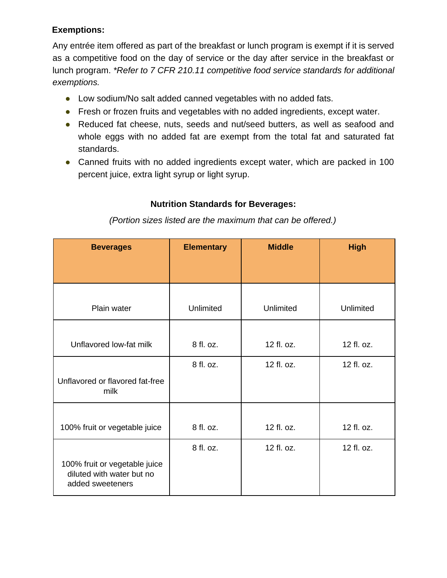# **Exemptions:**

Any entrée item offered as part of the breakfast or lunch program is exempt if it is served as a competitive food on the day of service or the day after service in the breakfast or lunch program. *\*Refer to 7 CFR 210.11 competitive food service standards for additional exemptions.* 

- Low sodium/No salt added canned vegetables with no added fats.
- Fresh or frozen fruits and vegetables with no added ingredients, except water.
- Reduced fat cheese, nuts, seeds and nut/seed butters, as well as seafood and whole eggs with no added fat are exempt from the total fat and saturated fat standards.
- Canned fruits with no added ingredients except water, which are packed in 100 percent juice, extra light syrup or light syrup.

# **Nutrition Standards for Beverages:**

| <b>Beverages</b>                                                               | <b>Elementary</b> | <b>Middle</b> | <b>High</b>      |
|--------------------------------------------------------------------------------|-------------------|---------------|------------------|
|                                                                                |                   |               |                  |
| Plain water                                                                    | Unlimited         | Unlimited     | <b>Unlimited</b> |
|                                                                                |                   |               |                  |
| Unflavored low-fat milk                                                        | 8 fl. oz.         | 12 fl. oz.    | 12 fl. oz.       |
|                                                                                | 8 fl. oz.         | 12 fl. oz.    | 12 fl. oz.       |
| Unflavored or flavored fat-free<br>milk                                        |                   |               |                  |
|                                                                                |                   |               |                  |
| 100% fruit or vegetable juice                                                  | 8 fl. oz.         | 12 fl. oz.    | 12 fl. oz.       |
|                                                                                | 8 fl. oz.         | 12 fl. oz.    | 12 fl. oz.       |
| 100% fruit or vegetable juice<br>diluted with water but no<br>added sweeteners |                   |               |                  |

*(Portion sizes listed are the maximum that can be offered.)*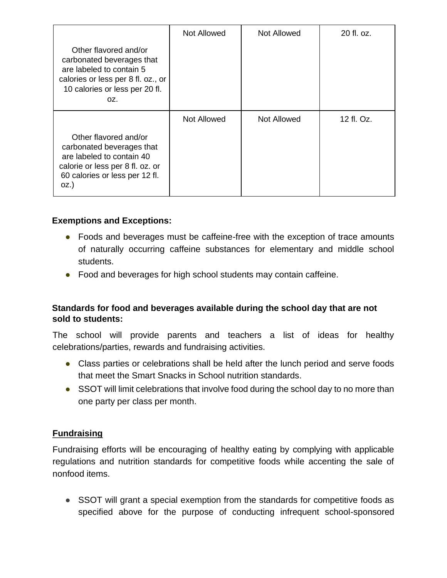|                                                                                                                                                               | <b>Not Allowed</b> | Not Allowed | 20 fl. oz. |
|---------------------------------------------------------------------------------------------------------------------------------------------------------------|--------------------|-------------|------------|
| Other flavored and/or<br>carbonated beverages that<br>are labeled to contain 5<br>calories or less per 8 fl. oz., or<br>10 calories or less per 20 fl.<br>OZ. |                    |             |            |
|                                                                                                                                                               | <b>Not Allowed</b> | Not Allowed | 12 fl. Oz. |
| Other flavored and/or<br>carbonated beverages that<br>are labeled to contain 40<br>calorie or less per 8 fl. oz. or<br>60 calories or less per 12 fl.<br>OZ.) |                    |             |            |

## **Exemptions and Exceptions:**

- Foods and beverages must be caffeine-free with the exception of trace amounts of naturally occurring caffeine substances for elementary and middle school students.
- Food and beverages for high school students may contain caffeine.

## **Standards for food and beverages available during the school day that are not sold to students:**

The school will provide parents and teachers a list of ideas for healthy celebrations/parties, rewards and fundraising activities.

- Class parties or celebrations shall be held after the lunch period and serve foods that meet the Smart Snacks in School nutrition standards.
- SSOT will limit celebrations that involve food during the school day to no more than one party per class per month.

## **Fundraising**

Fundraising efforts will be encouraging of healthy eating by complying with applicable regulations and nutrition standards for competitive foods while accenting the sale of nonfood items.

• SSOT will grant a special exemption from the standards for competitive foods as specified above for the purpose of conducting infrequent school-sponsored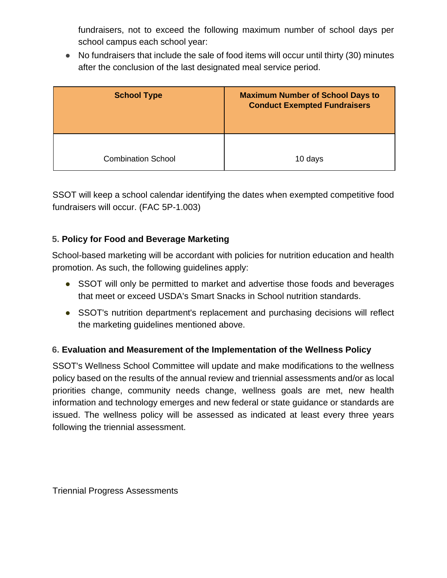fundraisers, not to exceed the following maximum number of school days per school campus each school year:

● No fundraisers that include the sale of food items will occur until thirty (30) minutes after the conclusion of the last designated meal service period.

| <b>School Type</b>        | <b>Maximum Number of School Days to</b><br><b>Conduct Exempted Fundraisers</b> |  |
|---------------------------|--------------------------------------------------------------------------------|--|
| <b>Combination School</b> | 10 days                                                                        |  |

SSOT will keep a school calendar identifying the dates when exempted competitive food fundraisers will occur. (FAC 5P-1.003)

# **5. Policy for Food and Beverage Marketing**

School-based marketing will be accordant with policies for nutrition education and health promotion. As such, the following guidelines apply:

- SSOT will only be permitted to market and advertise those foods and beverages that meet or exceed USDA's Smart Snacks in School nutrition standards.
- SSOT's nutrition department's replacement and purchasing decisions will reflect the marketing guidelines mentioned above.

## **6. Evaluation and Measurement of the Implementation of the Wellness Policy**

SSOT's Wellness School Committee will update and make modifications to the wellness policy based on the results of the annual review and triennial assessments and/or as local priorities change, community needs change, wellness goals are met, new health information and technology emerges and new federal or state guidance or standards are issued. The wellness policy will be assessed as indicated at least every three years following the triennial assessment.

Triennial Progress Assessments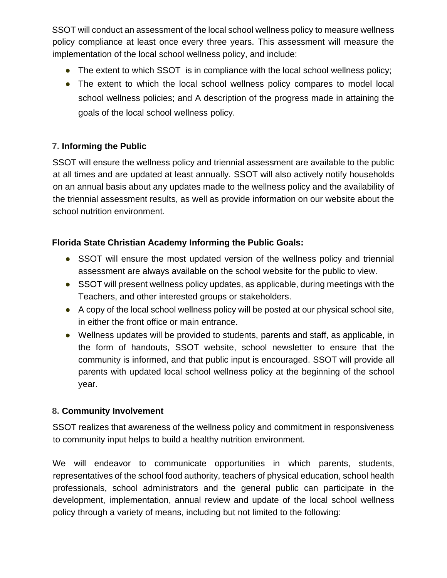SSOT will conduct an assessment of the local school wellness policy to measure wellness policy compliance at least once every three years. This assessment will measure the implementation of the local school wellness policy, and include:

- The extent to which SSOT is in compliance with the local school wellness policy;
- The extent to which the local school wellness policy compares to model local school wellness policies; and A description of the progress made in attaining the goals of the local school wellness policy.

## **7. Informing the Public**

SSOT will ensure the wellness policy and triennial assessment are available to the public at all times and are updated at least annually. SSOT will also actively notify households on an annual basis about any updates made to the wellness policy and the availability of the triennial assessment results, as well as provide information on our website about the school nutrition environment.

## **Florida State Christian Academy Informing the Public Goals:**

- SSOT will ensure the most updated version of the wellness policy and triennial assessment are always available on the school website for the public to view.
- SSOT will present wellness policy updates, as applicable, during meetings with the Teachers, and other interested groups or stakeholders.
- A copy of the local school wellness policy will be posted at our physical school site, in either the front office or main entrance.
- Wellness updates will be provided to students, parents and staff, as applicable, in the form of handouts, SSOT website, school newsletter to ensure that the community is informed, and that public input is encouraged. SSOT will provide all parents with updated local school wellness policy at the beginning of the school year.

## **8. Community Involvement**

SSOT realizes that awareness of the wellness policy and commitment in responsiveness to community input helps to build a healthy nutrition environment.

We will endeavor to communicate opportunities in which parents, students, representatives of the school food authority, teachers of physical education, school health professionals, school administrators and the general public can participate in the development, implementation, annual review and update of the local school wellness policy through a variety of means, including but not limited to the following: